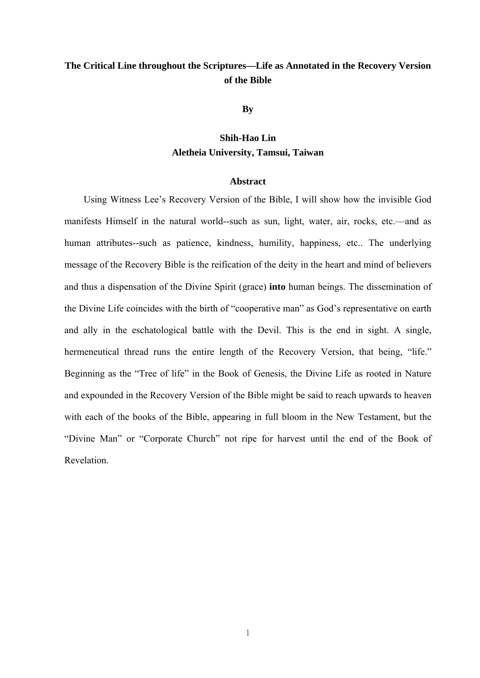# **The Critical Line throughout the Scriptures—Life as Annotated in the Recovery Version of the Bible**

**By** 

## **Shih-Hao Lin Aletheia University, Tamsui, Taiwan**

#### **Abstract**

Using Witness Lee's Recovery Version of the Bible, I will show how the invisible God manifests Himself in the natural world--such as sun, light, water, air, rocks, etc.—and as human attributes--such as patience, kindness, humility, happiness, etc.. The underlying message of the Recovery Bible is the reification of the deity in the heart and mind of believers and thus a dispensation of the Divine Spirit (grace) **into** human beings. The dissemination of the Divine Life coincides with the birth of "cooperative man" as God's representative on earth and ally in the eschatological battle with the Devil. This is the end in sight. A single, hermeneutical thread runs the entire length of the Recovery Version, that being, "life." Beginning as the "Tree of life" in the Book of Genesis, the Divine Life as rooted in Nature and expounded in the Recovery Version of the Bible might be said to reach upwards to heaven with each of the books of the Bible, appearing in full bloom in the New Testament, but the "Divine Man" or "Corporate Church" not ripe for harvest until the end of the Book of Revelation.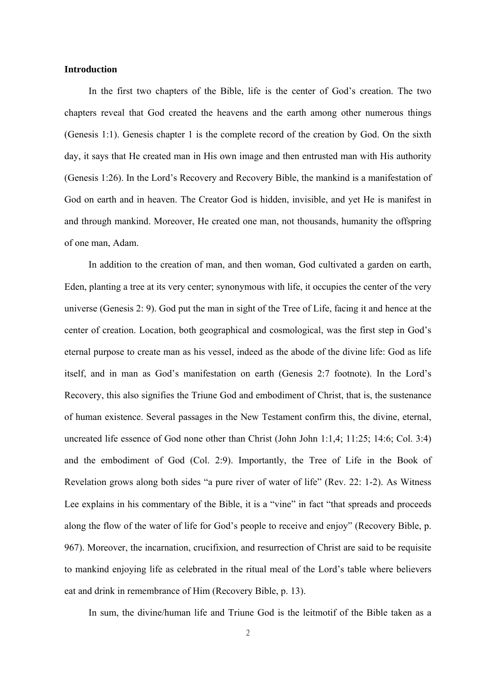### **Introduction**

In the first two chapters of the Bible, life is the center of God's creation. The two chapters reveal that God created the heavens and the earth among other numerous things (Genesis 1:1). Genesis chapter 1 is the complete record of the creation by God. On the sixth day, it says that He created man in His own image and then entrusted man with His authority (Genesis 1:26). In the Lord's Recovery and Recovery Bible, the mankind is a manifestation of God on earth and in heaven. The Creator God is hidden, invisible, and yet He is manifest in and through mankind. Moreover, He created one man, not thousands, humanity the offspring of one man, Adam.

In addition to the creation of man, and then woman, God cultivated a garden on earth, Eden, planting a tree at its very center; synonymous with life, it occupies the center of the very universe (Genesis 2: 9). God put the man in sight of the Tree of Life, facing it and hence at the center of creation. Location, both geographical and cosmological, was the first step in God's eternal purpose to create man as his vessel, indeed as the abode of the divine life: God as life itself, and in man as God's manifestation on earth (Genesis 2:7 footnote). In the Lord's Recovery, this also signifies the Triune God and embodiment of Christ, that is, the sustenance of human existence. Several passages in the New Testament confirm this, the divine, eternal, uncreated life essence of God none other than Christ (John John 1:1,4; 11:25; 14:6; Col. 3:4) and the embodiment of God (Col. 2:9). Importantly, the Tree of Life in the Book of Revelation grows along both sides "a pure river of water of life" (Rev. 22: 1-2). As Witness Lee explains in his commentary of the Bible, it is a "vine" in fact "that spreads and proceeds along the flow of the water of life for God's people to receive and enjoy" (Recovery Bible, p. 967). Moreover, the incarnation, crucifixion, and resurrection of Christ are said to be requisite to mankind enjoying life as celebrated in the ritual meal of the Lord's table where believers eat and drink in remembrance of Him (Recovery Bible, p. 13).

In sum, the divine/human life and Triune God is the leitmotif of the Bible taken as a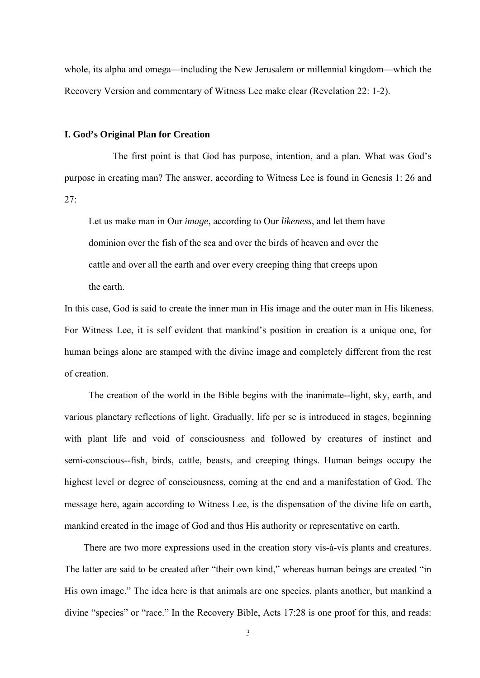whole, its alpha and omega—including the New Jerusalem or millennial kingdom—which the Recovery Version and commentary of Witness Lee make clear (Revelation 22: 1-2).

### **I. God's Original Plan for Creation**

 The first point is that God has purpose, intention, and a plan. What was God's purpose in creating man? The answer, according to Witness Lee is found in Genesis 1: 26 and  $27<sup>·</sup>$ 

 Let us make man in Our *image*, according to Our *likeness*, and let them have dominion over the fish of the sea and over the birds of heaven and over the cattle and over all the earth and over every creeping thing that creeps upon the earth.

In this case, God is said to create the inner man in His image and the outer man in His likeness. For Witness Lee, it is self evident that mankind's position in creation is a unique one, for human beings alone are stamped with the divine image and completely different from the rest of creation.

 The creation of the world in the Bible begins with the inanimate--light, sky, earth, and various planetary reflections of light. Gradually, life per se is introduced in stages, beginning with plant life and void of consciousness and followed by creatures of instinct and semi-conscious--fish, birds, cattle, beasts, and creeping things. Human beings occupy the highest level or degree of consciousness, coming at the end and a manifestation of God. The message here, again according to Witness Lee, is the dispensation of the divine life on earth, mankind created in the image of God and thus His authority or representative on earth.

There are two more expressions used in the creation story vis-à-vis plants and creatures. The latter are said to be created after "their own kind," whereas human beings are created "in His own image." The idea here is that animals are one species, plants another, but mankind a divine "species" or "race." In the Recovery Bible, Acts 17:28 is one proof for this, and reads: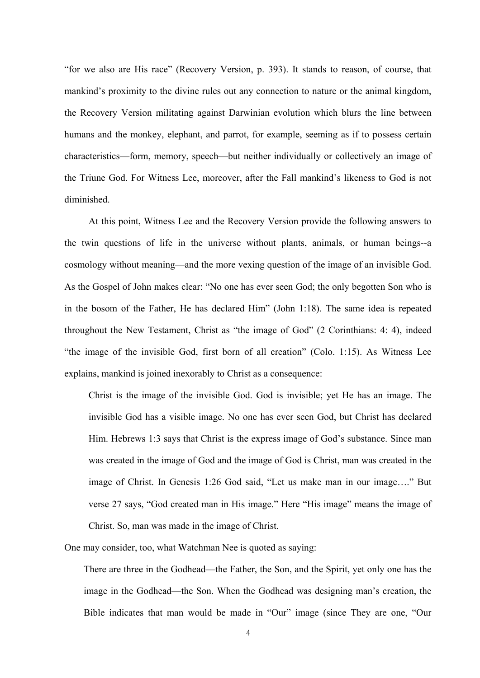"for we also are His race" (Recovery Version, p. 393). It stands to reason, of course, that mankind's proximity to the divine rules out any connection to nature or the animal kingdom, the Recovery Version militating against Darwinian evolution which blurs the line between humans and the monkey, elephant, and parrot, for example, seeming as if to possess certain characteristics—form, memory, speech—but neither individually or collectively an image of the Triune God. For Witness Lee, moreover, after the Fall mankind's likeness to God is not diminished.

 At this point, Witness Lee and the Recovery Version provide the following answers to the twin questions of life in the universe without plants, animals, or human beings--a cosmology without meaning—and the more vexing question of the image of an invisible God. As the Gospel of John makes clear: "No one has ever seen God; the only begotten Son who is in the bosom of the Father, He has declared Him" (John 1:18). The same idea is repeated throughout the New Testament, Christ as "the image of God" (2 Corinthians: 4: 4), indeed "the image of the invisible God, first born of all creation" (Colo. 1:15). As Witness Lee explains, mankind is joined inexorably to Christ as a consequence:

Christ is the image of the invisible God. God is invisible; yet He has an image. The invisible God has a visible image. No one has ever seen God, but Christ has declared Him. Hebrews 1:3 says that Christ is the express image of God's substance. Since man was created in the image of God and the image of God is Christ, man was created in the image of Christ. In Genesis 1:26 God said, "Let us make man in our image…." But verse 27 says, "God created man in His image." Here "His image" means the image of Christ. So, man was made in the image of Christ.

One may consider, too, what Watchman Nee is quoted as saying:

There are three in the Godhead—the Father, the Son, and the Spirit, yet only one has the image in the Godhead—the Son. When the Godhead was designing man's creation, the Bible indicates that man would be made in "Our" image (since They are one, "Our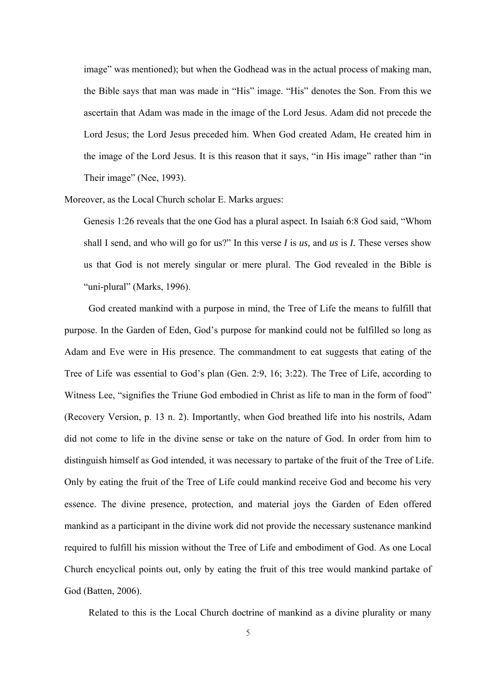image" was mentioned); but when the Godhead was in the actual process of making man, the Bible says that man was made in "His" image. "His" denotes the Son. From this we ascertain that Adam was made in the image of the Lord Jesus. Adam did not precede the Lord Jesus; the Lord Jesus preceded him. When God created Adam, He created him in the image of the Lord Jesus. It is this reason that it says, "in His image" rather than "in Their image" (Nee, 1993).

Moreover, as the Local Church scholar E. Marks argues:

Genesis 1:26 reveals that the one God has a plural aspect. In Isaiah 6:8 God said, "Whom shall I send, and who will go for us?" In this verse *I* is *us,* and *us* is *I.* These verses show us that God is not merely singular or mere plural. The God revealed in the Bible is "uni-plural" (Marks, 1996).

God created mankind with a purpose in mind, the Tree of Life the means to fulfill that purpose. In the Garden of Eden, God's purpose for mankind could not be fulfilled so long as Adam and Eve were in His presence. The commandment to eat suggests that eating of the Tree of Life was essential to God's plan (Gen. 2:9, 16; 3:22). The Tree of Life, according to Witness Lee, "signifies the Triune God embodied in Christ as life to man in the form of food" (Recovery Version, p. 13 n. 2). Importantly, when God breathed life into his nostrils, Adam did not come to life in the divine sense or take on the nature of God. In order from him to distinguish himself as God intended, it was necessary to partake of the fruit of the Tree of Life. Only by eating the fruit of the Tree of Life could mankind receive God and become his very essence. The divine presence, protection, and material joys the Garden of Eden offered mankind as a participant in the divine work did not provide the necessary sustenance mankind required to fulfill his mission without the Tree of Life and embodiment of God. As one Local Church encyclical points out, only by eating the fruit of this tree would mankind partake of God (Batten, 2006).

Related to this is the Local Church doctrine of mankind as a divine plurality or many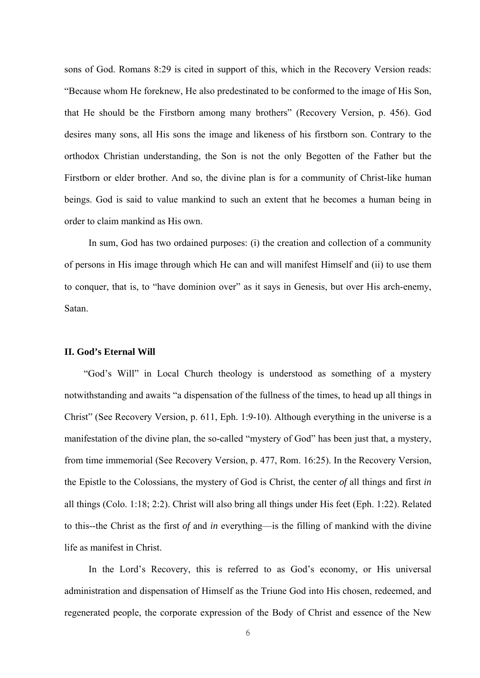sons of God. Romans 8:29 is cited in support of this, which in the Recovery Version reads: "Because whom He foreknew, He also predestinated to be conformed to the image of His Son, that He should be the Firstborn among many brothers" (Recovery Version, p. 456). God desires many sons, all His sons the image and likeness of his firstborn son. Contrary to the orthodox Christian understanding, the Son is not the only Begotten of the Father but the Firstborn or elder brother. And so, the divine plan is for a community of Christ-like human beings. God is said to value mankind to such an extent that he becomes a human being in order to claim mankind as His own.

 In sum, God has two ordained purposes: (i) the creation and collection of a community of persons in His image through which He can and will manifest Himself and (ii) to use them to conquer, that is, to "have dominion over" as it says in Genesis, but over His arch-enemy, Satan.

### **II. God's Eternal Will**

"God's Will" in Local Church theology is understood as something of a mystery notwithstanding and awaits "a dispensation of the fullness of the times, to head up all things in Christ" (See Recovery Version, p. 611, Eph. 1:9-10). Although everything in the universe is a manifestation of the divine plan, the so-called "mystery of God" has been just that, a mystery, from time immemorial (See Recovery Version, p. 477, Rom. 16:25). In the Recovery Version, the Epistle to the Colossians, the mystery of God is Christ, the center *of* all things and first *in* all things (Colo. 1:18; 2:2). Christ will also bring all things under His feet (Eph. 1:22). Related to this--the Christ as the first *of* and *in* everything—is the filling of mankind with the divine life as manifest in Christ.

In the Lord's Recovery, this is referred to as God's economy, or His universal administration and dispensation of Himself as the Triune God into His chosen, redeemed, and regenerated people, the corporate expression of the Body of Christ and essence of the New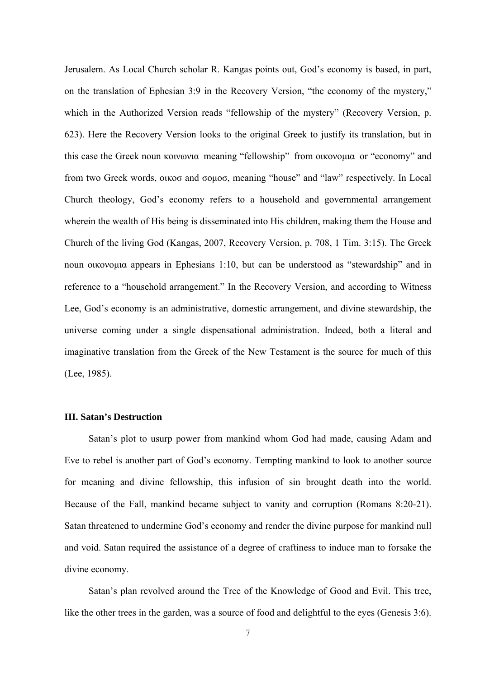Jerusalem. As Local Church scholar R. Kangas points out, God's economy is based, in part, on the translation of Ephesian 3:9 in the Recovery Version, "the economy of the mystery," which in the Authorized Version reads "fellowship of the mystery" (Recovery Version, p. 623). Here the Recovery Version looks to the original Greek to justify its translation, but in this case the Greek noun κοινωνια meaning "fellowship" from οικονομια or "economy" and from two Greek words, οικοσ and σομοσ, meaning "house" and "law" respectively. In Local Church theology, God's economy refers to a household and governmental arrangement wherein the wealth of His being is disseminated into His children, making them the House and Church of the living God (Kangas, 2007, Recovery Version, p. 708, 1 Tim. 3:15). The Greek noun οικονομια appears in Ephesians 1:10, but can be understood as "stewardship" and in reference to a "household arrangement." In the Recovery Version, and according to Witness Lee, God's economy is an administrative, domestic arrangement, and divine stewardship, the universe coming under a single dispensational administration. Indeed, both a literal and imaginative translation from the Greek of the New Testament is the source for much of this (Lee, 1985).

#### **III. Satan's Destruction**

 Satan's plot to usurp power from mankind whom God had made, causing Adam and Eve to rebel is another part of God's economy. Tempting mankind to look to another source for meaning and divine fellowship, this infusion of sin brought death into the world. Because of the Fall, mankind became subject to vanity and corruption (Romans 8:20-21). Satan threatened to undermine God's economy and render the divine purpose for mankind null and void. Satan required the assistance of a degree of craftiness to induce man to forsake the divine economy.

 Satan's plan revolved around the Tree of the Knowledge of Good and Evil. This tree, like the other trees in the garden, was a source of food and delightful to the eyes (Genesis 3:6).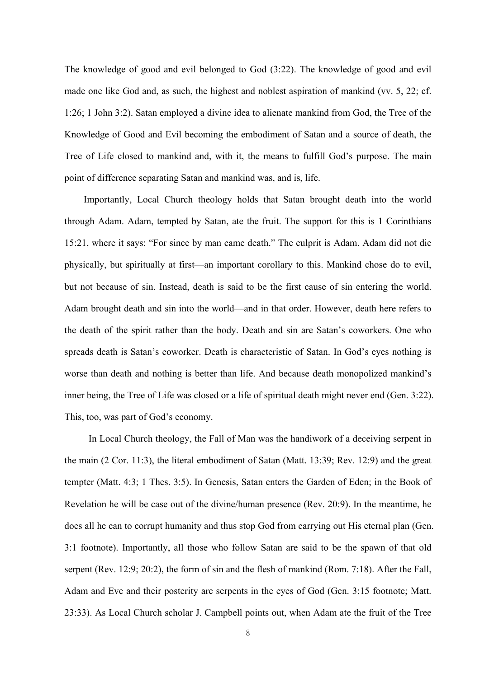The knowledge of good and evil belonged to God (3:22). The knowledge of good and evil made one like God and, as such, the highest and noblest aspiration of mankind (vv. 5, 22; cf. 1:26; 1 John 3:2). Satan employed a divine idea to alienate mankind from God, the Tree of the Knowledge of Good and Evil becoming the embodiment of Satan and a source of death, the Tree of Life closed to mankind and, with it, the means to fulfill God's purpose. The main point of difference separating Satan and mankind was, and is, life.

Importantly, Local Church theology holds that Satan brought death into the world through Adam. Adam, tempted by Satan, ate the fruit. The support for this is 1 Corinthians 15:21, where it says: "For since by man came death." The culprit is Adam. Adam did not die physically, but spiritually at first—an important corollary to this. Mankind chose do to evil, but not because of sin. Instead, death is said to be the first cause of sin entering the world. Adam brought death and sin into the world—and in that order. However, death here refers to the death of the spirit rather than the body. Death and sin are Satan's coworkers. One who spreads death is Satan's coworker. Death is characteristic of Satan. In God's eyes nothing is worse than death and nothing is better than life. And because death monopolized mankind's inner being, the Tree of Life was closed or a life of spiritual death might never end (Gen. 3:22). This, too, was part of God's economy.

 In Local Church theology, the Fall of Man was the handiwork of a deceiving serpent in the main (2 Cor. 11:3), the literal embodiment of Satan (Matt. 13:39; Rev. 12:9) and the great tempter (Matt. 4:3; 1 Thes. 3:5). In Genesis, Satan enters the Garden of Eden; in the Book of Revelation he will be case out of the divine/human presence (Rev. 20:9). In the meantime, he does all he can to corrupt humanity and thus stop God from carrying out His eternal plan (Gen. 3:1 footnote). Importantly, all those who follow Satan are said to be the spawn of that old serpent (Rev. 12:9; 20:2), the form of sin and the flesh of mankind (Rom. 7:18). After the Fall, Adam and Eve and their posterity are serpents in the eyes of God (Gen. 3:15 footnote; Matt. 23:33). As Local Church scholar J. Campbell points out, when Adam ate the fruit of the Tree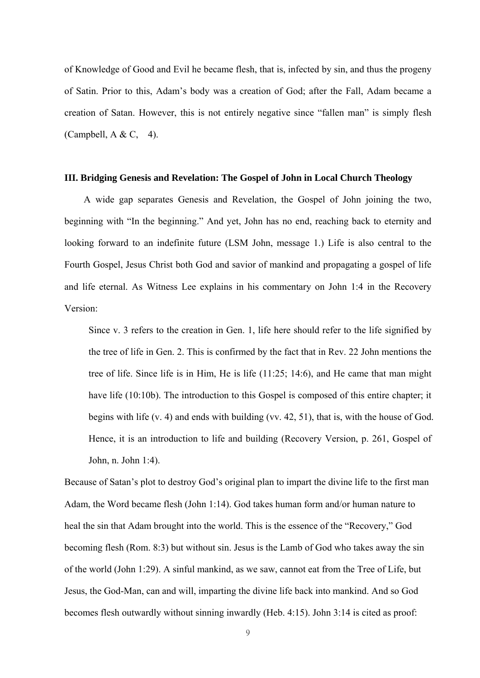of Knowledge of Good and Evil he became flesh, that is, infected by sin, and thus the progeny of Satin. Prior to this, Adam's body was a creation of God; after the Fall, Adam became a creation of Satan. However, this is not entirely negative since "fallen man" is simply flesh (Campbell,  $A & C, 4$ ).

#### **III. Bridging Genesis and Revelation: The Gospel of John in Local Church Theology**

A wide gap separates Genesis and Revelation, the Gospel of John joining the two, beginning with "In the beginning." And yet, John has no end, reaching back to eternity and looking forward to an indefinite future (LSM John, message 1.) Life is also central to the Fourth Gospel, Jesus Christ both God and savior of mankind and propagating a gospel of life and life eternal. As Witness Lee explains in his commentary on John 1:4 in the Recovery Version:

 Since v. 3 refers to the creation in Gen. 1, life here should refer to the life signified by the tree of life in Gen. 2. This is confirmed by the fact that in Rev. 22 John mentions the tree of life. Since life is in Him, He is life (11:25; 14:6), and He came that man might have life (10:10b). The introduction to this Gospel is composed of this entire chapter; it begins with life (v. 4) and ends with building (vv. 42, 51), that is, with the house of God. Hence, it is an introduction to life and building (Recovery Version, p. 261, Gospel of John, n. John 1:4).

Because of Satan's plot to destroy God's original plan to impart the divine life to the first man Adam, the Word became flesh (John 1:14). God takes human form and/or human nature to heal the sin that Adam brought into the world. This is the essence of the "Recovery," God becoming flesh (Rom. 8:3) but without sin. Jesus is the Lamb of God who takes away the sin of the world (John 1:29). A sinful mankind, as we saw, cannot eat from the Tree of Life, but Jesus, the God-Man, can and will, imparting the divine life back into mankind. And so God becomes flesh outwardly without sinning inwardly (Heb. 4:15). John 3:14 is cited as proof: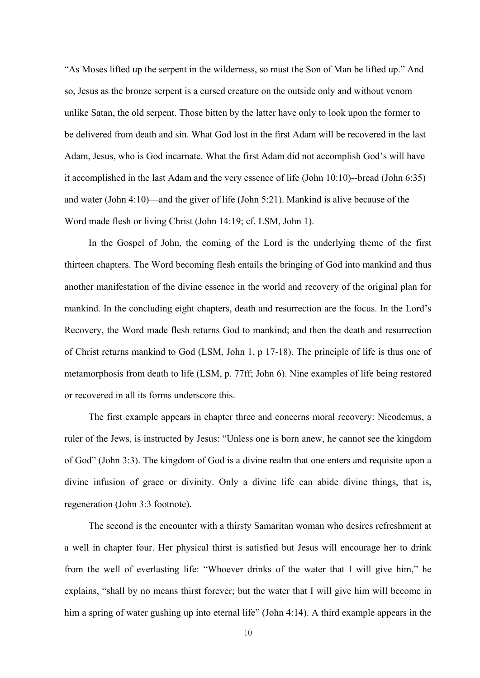"As Moses lifted up the serpent in the wilderness, so must the Son of Man be lifted up." And so, Jesus as the bronze serpent is a cursed creature on the outside only and without venom unlike Satan, the old serpent. Those bitten by the latter have only to look upon the former to be delivered from death and sin. What God lost in the first Adam will be recovered in the last Adam, Jesus, who is God incarnate. What the first Adam did not accomplish God's will have it accomplished in the last Adam and the very essence of life (John 10:10)--bread (John 6:35) and water (John 4:10)—and the giver of life (John 5:21). Mankind is alive because of the Word made flesh or living Christ (John 14:19; cf. LSM, John 1).

 In the Gospel of John, the coming of the Lord is the underlying theme of the first thirteen chapters. The Word becoming flesh entails the bringing of God into mankind and thus another manifestation of the divine essence in the world and recovery of the original plan for mankind. In the concluding eight chapters, death and resurrection are the focus. In the Lord's Recovery, the Word made flesh returns God to mankind; and then the death and resurrection of Christ returns mankind to God (LSM, John 1, p 17-18). The principle of life is thus one of metamorphosis from death to life (LSM, p. 77ff; John 6). Nine examples of life being restored or recovered in all its forms underscore this.

The first example appears in chapter three and concerns moral recovery: Nicodemus, a ruler of the Jews, is instructed by Jesus: "Unless one is born anew, he cannot see the kingdom of God" (John 3:3). The kingdom of God is a divine realm that one enters and requisite upon a divine infusion of grace or divinity. Only a divine life can abide divine things, that is, regeneration (John 3:3 footnote).

The second is the encounter with a thirsty Samaritan woman who desires refreshment at a well in chapter four. Her physical thirst is satisfied but Jesus will encourage her to drink from the well of everlasting life: "Whoever drinks of the water that I will give him," he explains, "shall by no means thirst forever; but the water that I will give him will become in him a spring of water gushing up into eternal life" (John 4:14). A third example appears in the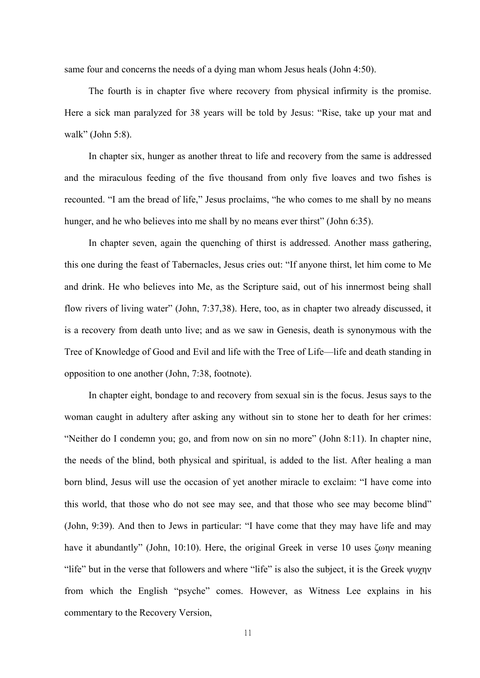same four and concerns the needs of a dying man whom Jesus heals (John 4:50).

The fourth is in chapter five where recovery from physical infirmity is the promise. Here a sick man paralyzed for 38 years will be told by Jesus: "Rise, take up your mat and walk" (John 5:8).

In chapter six, hunger as another threat to life and recovery from the same is addressed and the miraculous feeding of the five thousand from only five loaves and two fishes is recounted. "I am the bread of life," Jesus proclaims, "he who comes to me shall by no means hunger, and he who believes into me shall by no means ever thirst" (John 6:35).

In chapter seven, again the quenching of thirst is addressed. Another mass gathering, this one during the feast of Tabernacles, Jesus cries out: "If anyone thirst, let him come to Me and drink. He who believes into Me, as the Scripture said, out of his innermost being shall flow rivers of living water" (John, 7:37,38). Here, too, as in chapter two already discussed, it is a recovery from death unto live; and as we saw in Genesis, death is synonymous with the Tree of Knowledge of Good and Evil and life with the Tree of Life—life and death standing in opposition to one another (John, 7:38, footnote).

In chapter eight, bondage to and recovery from sexual sin is the focus. Jesus says to the woman caught in adultery after asking any without sin to stone her to death for her crimes: "Neither do I condemn you; go, and from now on sin no more" (John 8:11). In chapter nine, the needs of the blind, both physical and spiritual, is added to the list. After healing a man born blind, Jesus will use the occasion of yet another miracle to exclaim: "I have come into this world, that those who do not see may see, and that those who see may become blind" (John, 9:39). And then to Jews in particular: "I have come that they may have life and may have it abundantly" (John, 10:10). Here, the original Greek in verse 10 uses ζωην meaning "life" but in the verse that followers and where "life" is also the subject, it is the Greek ψυχην from which the English "psyche" comes. However, as Witness Lee explains in his commentary to the Recovery Version,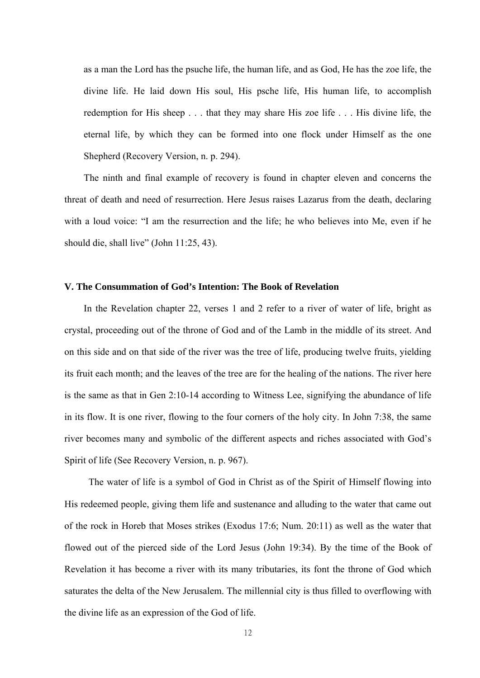as a man the Lord has the psuche life, the human life, and as God, He has the zoe life, the divine life. He laid down His soul, His psche life, His human life, to accomplish redemption for His sheep . . . that they may share His zoe life . . . His divine life, the eternal life, by which they can be formed into one flock under Himself as the one Shepherd (Recovery Version, n. p. 294).

The ninth and final example of recovery is found in chapter eleven and concerns the threat of death and need of resurrection. Here Jesus raises Lazarus from the death, declaring with a loud voice: "I am the resurrection and the life; he who believes into Me, even if he should die, shall live" (John 11:25, 43).

#### **V. The Consummation of God's Intention: The Book of Revelation**

In the Revelation chapter 22, verses 1 and 2 refer to a river of water of life, bright as crystal, proceeding out of the throne of God and of the Lamb in the middle of its street. And on this side and on that side of the river was the tree of life, producing twelve fruits, yielding its fruit each month; and the leaves of the tree are for the healing of the nations. The river here is the same as that in Gen 2:10-14 according to Witness Lee, signifying the abundance of life in its flow. It is one river, flowing to the four corners of the holy city. In John 7:38, the same river becomes many and symbolic of the different aspects and riches associated with God's Spirit of life (See Recovery Version, n. p. 967).

 The water of life is a symbol of God in Christ as of the Spirit of Himself flowing into His redeemed people, giving them life and sustenance and alluding to the water that came out of the rock in Horeb that Moses strikes (Exodus 17:6; Num. 20:11) as well as the water that flowed out of the pierced side of the Lord Jesus (John 19:34). By the time of the Book of Revelation it has become a river with its many tributaries, its font the throne of God which saturates the delta of the New Jerusalem. The millennial city is thus filled to overflowing with the divine life as an expression of the God of life.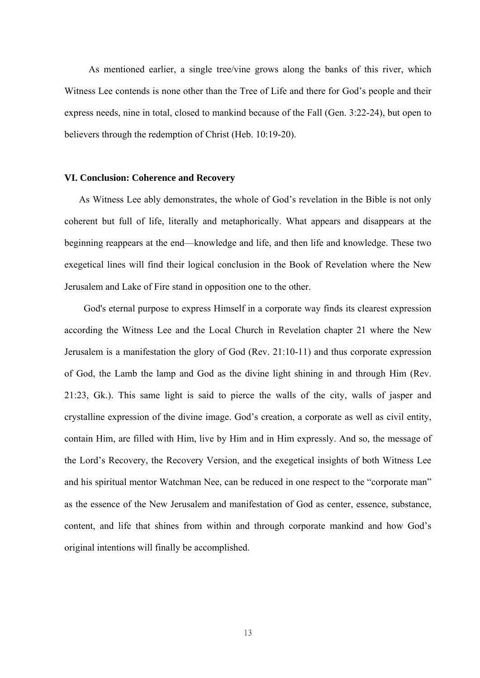As mentioned earlier, a single tree/vine grows along the banks of this river, which Witness Lee contends is none other than the Tree of Life and there for God's people and their express needs, nine in total, closed to mankind because of the Fall (Gen. 3:22-24), but open to believers through the redemption of Christ (Heb. 10:19-20).

### **VI. Conclusion: Coherence and Recovery**

 As Witness Lee ably demonstrates, the whole of God's revelation in the Bible is not only coherent but full of life, literally and metaphorically. What appears and disappears at the beginning reappears at the end—knowledge and life, and then life and knowledge. These two exegetical lines will find their logical conclusion in the Book of Revelation where the New Jerusalem and Lake of Fire stand in opposition one to the other.

God's eternal purpose to express Himself in a corporate way finds its clearest expression according the Witness Lee and the Local Church in Revelation chapter 21 where the New Jerusalem is a manifestation the glory of God (Rev. 21:10-11) and thus corporate expression of God, the Lamb the lamp and God as the divine light shining in and through Him (Rev. 21:23, Gk.). This same light is said to pierce the walls of the city, walls of jasper and crystalline expression of the divine image. God's creation, a corporate as well as civil entity, contain Him, are filled with Him, live by Him and in Him expressly. And so, the message of the Lord's Recovery, the Recovery Version, and the exegetical insights of both Witness Lee and his spiritual mentor Watchman Nee, can be reduced in one respect to the "corporate man" as the essence of the New Jerusalem and manifestation of God as center, essence, substance, content, and life that shines from within and through corporate mankind and how God's original intentions will finally be accomplished.

13